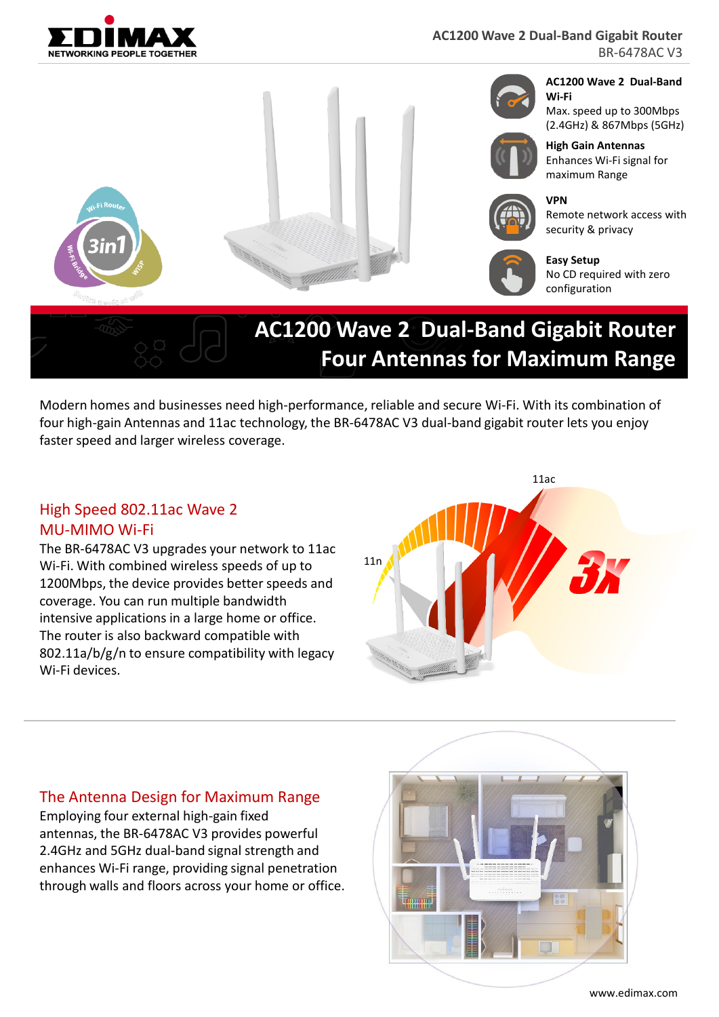



BR-6478AC V3



Modern homes and businesses need high-performance, reliable and secure Wi-Fi. With its combination of four high-gain Antennas and 11ac technology, the BR-6478AC V3 dual-band gigabit router lets you enjoy faster speed and larger wireless coverage.

### High Speed 802.11ac Wave 2 MU-MIMO Wi-Fi

The BR-6478AC V3 upgrades your network to 11ac Wi-Fi. With combined wireless speeds of up to 1200Mbps, the device provides better speeds and coverage. You can run multiple bandwidth intensive applications in a large home or office. The router is also backward compatible with 802.11a/b/g/n to ensure compatibility with legacy Wi-Fi devices.



#### The Antenna Design for Maximum Range

Employing four external high-gain fixed antennas, the BR-6478AC V3 provides powerful 2.4GHz and 5GHz dual-band signal strength and enhances Wi-Fi range, providing signal penetration through walls and floors across your home or office.

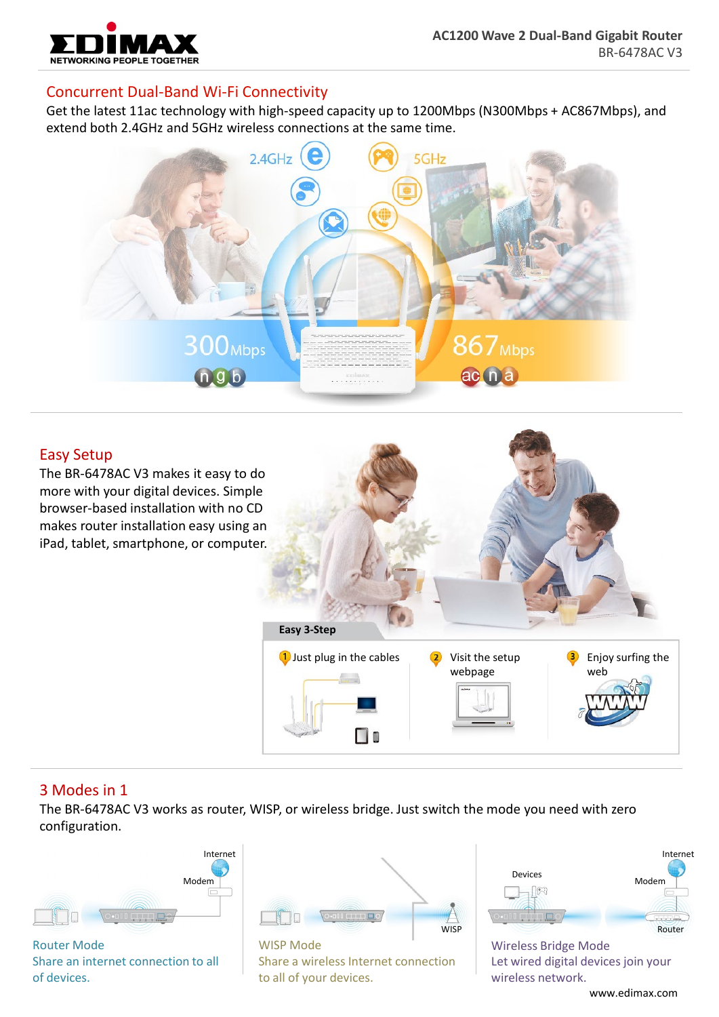

## Concurrent Dual-Band Wi-Fi Connectivity

Get the latest 11ac technology with high-speed capacity up to 1200Mbps (N300Mbps + AC867Mbps), and extend both 2.4GHz and 5GHz wireless connections at the same time.



## Easy Setup

The BR-6478AC V3 makes it easy to do more with your digital devices. Simple browser-based installation with no CD makes router installation easy using an iPad, tablet, smartphone, or computer.



#### 3 Modes in 1

The BR-6478AC V3 works as router, WISP, or wireless bridge. Just switch the mode you need with zero configuration.



Router Mode Share an internet connection to all of devices.



WISP Mode Share a wireless Internet connection to all of your devices.



Wireless Bridge Mode Let wired digital devices join your wireless network.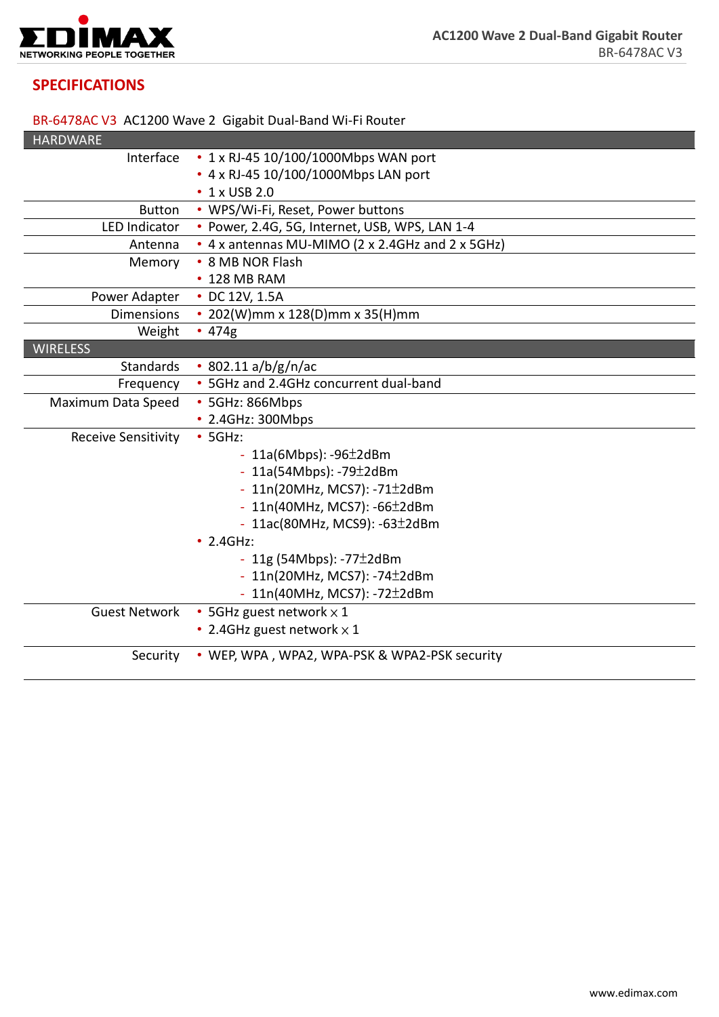

# **SPECIFICATIONS**

### BR-6478AC V3 AC1200 Wave 2 Gigabit Dual-Band Wi-Fi Router

| <b>HARDWARE</b>            |                                                  |
|----------------------------|--------------------------------------------------|
| Interface                  | • $1 \times R$ J-45 10/100/1000Mbps WAN port     |
|                            | • 4 x RJ-45 10/100/1000Mbps LAN port             |
|                            | • 1 x USB 2.0                                    |
| <b>Button</b>              | • WPS/Wi-Fi, Reset, Power buttons                |
| <b>LED Indicator</b>       | · Power, 2.4G, 5G, Internet, USB, WPS, LAN 1-4   |
| Antenna                    | • 4 x antennas MU-MIMO (2 x 2.4GHz and 2 x 5GHz) |
| Memory                     | • 8 MB NOR Flash                                 |
|                            | • 128 MB RAM                                     |
| Power Adapter              | • DC 12V, 1.5A                                   |
| <b>Dimensions</b>          | • 202(W)mm x 128(D)mm x 35(H)mm                  |
| Weight                     | • 474g                                           |
| <b>WIRELESS</b>            |                                                  |
| <b>Standards</b>           | $\cdot$ 802.11 a/b/g/n/ac                        |
| Frequency                  | • 5GHz and 2.4GHz concurrent dual-band           |
| Maximum Data Speed         | • 5GHz: 866Mbps                                  |
|                            | • 2.4GHz: 300Mbps                                |
| <b>Receive Sensitivity</b> | $•$ 5GHz:                                        |
|                            | - $11a(6Mbps)$ : -96 $\pm$ 2dBm                  |
|                            | - $11a(54Mbps)$ : -79 $\pm$ 2dBm                 |
|                            | - $11n(20MHz, MCS7): -71±2dBm$                   |
|                            | - $11n(40MHz, MCS7): -66±2dBm$                   |
|                            | - 11ac(80MHz, MCS9): -63±2dBm                    |
|                            | $\cdot$ 2.4GHz:                                  |
|                            | - 11g (54Mbps): -77 $\pm$ 2dBm                   |
|                            | - $11n(20MHz, MCS7): -74±2dBm$                   |
|                            | - 11n(40MHz, MCS7): -72±2dBm                     |
| <b>Guest Network</b>       | • 5GHz guest network $\times$ 1                  |
|                            | • 2.4GHz guest network $\times$ 1                |
| Security                   | • WEP, WPA, WPA2, WPA-PSK & WPA2-PSK security    |
|                            |                                                  |